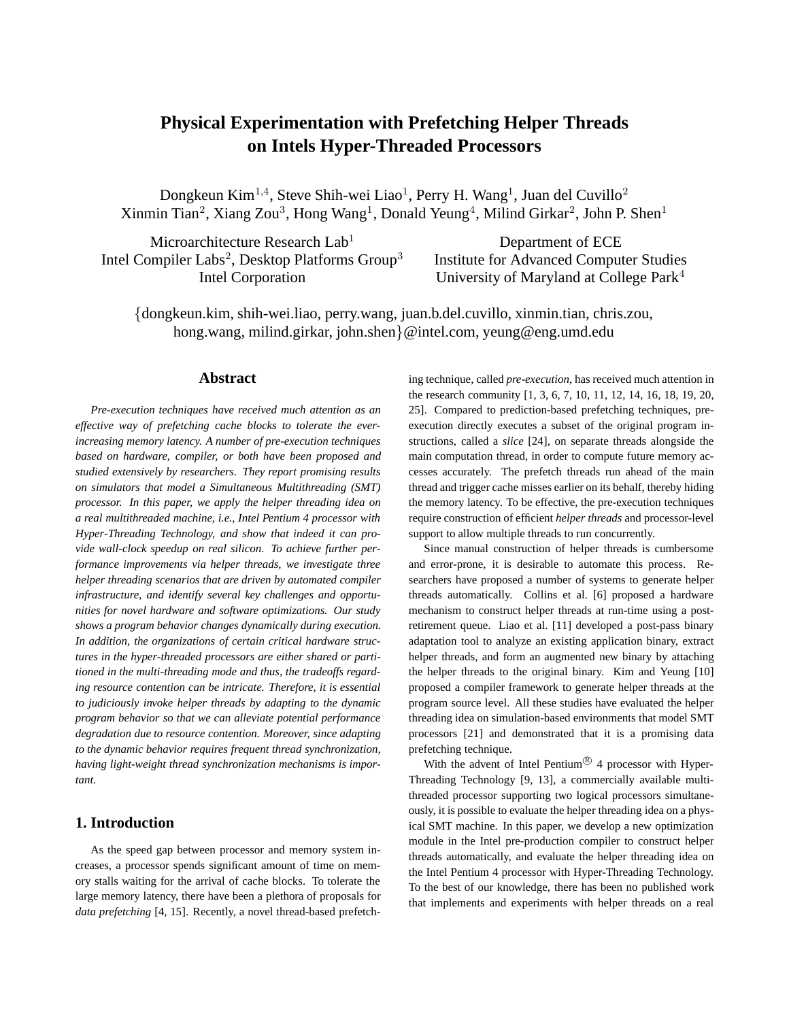# **Physical Experimentation with Prefetching Helper Threads on Intels Hyper-Threaded Processors**

Dongkeun Kim<sup>1,4</sup>, Steve Shih-wei Liao<sup>1</sup>, Perry H. Wang<sup>1</sup>, Juan del Cuvillo<sup>2</sup>  $Xinmin$  Tian<sup>2</sup>, Xiang Zou<sup>3</sup>, Hong Wang<sup>1</sup>, Donald Yeung<sup>4</sup>, Milind Girkar<sup>2</sup>, John P. Shen<sup>1</sup>

Microarchitecture Research Lab<sup>1</sup> Department of ECE Intel Compiler Labs<sup>2</sup>, Desktop Platforms Group<sup>3</sup> Institute for Advanced Computer Studies

Intel Corporation University of Maryland at College Park<sup>4</sup>

*{*dongkeun.kim, shih-wei.liao, perry.wang, juan.b.del.cuvillo, xinmin.tian, chris.zou, hong.wang, milind.girkar, john.shen*}*@intel.com, yeung@eng.umd.edu

# **Abstract**

*Pre-execution techniques have received much attention as an effective way of prefetching cache blocks to tolerate the everincreasing memory latency. A number of pre-execution techniques based on hardware, compiler, or both have been proposed and studied extensively by researchers. They report promising results on simulators that model a Simultaneous Multithreading (SMT) processor. In this paper, we apply the helper threading idea on a real multithreaded machine, i.e., Intel Pentium 4 processor with Hyper-Threading Technology, and show that indeed it can provide wall-clock speedup on real silicon. To achieve further performance improvements via helper threads, we investigate three helper threading scenarios that are driven by automated compiler infrastructure, and identify several key challenges and opportunities for novel hardware and software optimizations. Our study shows a program behavior changes dynamically during execution. In addition, the organizations of certain critical hardware structures in the hyper-threaded processors are either shared or partitioned in the multi-threading mode and thus, the tradeoffs regarding resource contention can be intricate. Therefore, it is essential to judiciously invoke helper threads by adapting to the dynamic program behavior so that we can alleviate potential performance degradation due to resource contention. Moreover, since adapting to the dynamic behavior requires frequent thread synchronization, having light-weight thread synchronization mechanisms is important.*

# **1. Introduction**

As the speed gap between processor and memory system increases, a processor spends significant amount of time on memory stalls waiting for the arrival of cache blocks. To tolerate the large memory latency, there have been a plethora of proposals for *data prefetching* [4, 15]. Recently, a novel thread-based prefetch-

ing technique, called *pre-execution*, has received much attention in the research community [1, 3, 6, 7, 10, 11, 12, 14, 16, 18, 19, 20, 25]. Compared to prediction-based prefetching techniques, preexecution directly executes a subset of the original program instructions, called a *slice* [24], on separate threads alongside the main computation thread, in order to compute future memory accesses accurately. The prefetch threads run ahead of the main thread and trigger cache misses earlier on its behalf, thereby hiding the memory latency. To be effective, the pre-execution techniques require construction of efficient *helper threads* and processor-level support to allow multiple threads to run concurrently.

Since manual construction of helper threads is cumbersome and error-prone, it is desirable to automate this process. Researchers have proposed a number of systems to generate helper threads automatically. Collins et al. [6] proposed a hardware mechanism to construct helper threads at run-time using a postretirement queue. Liao et al. [11] developed a post-pass binary adaptation tool to analyze an existing application binary, extract helper threads, and form an augmented new binary by attaching the helper threads to the original binary. Kim and Yeung [10] proposed a compiler framework to generate helper threads at the program source level. All these studies have evaluated the helper threading idea on simulation-based environments that model SMT processors [21] and demonstrated that it is a promising data prefetching technique.

With the advent of Intel Pentium<sup>®</sup> 4 processor with Hyper-Threading Technology [9, 13], a commercially available multithreaded processor supporting two logical processors simultaneously, it is possible to evaluate the helper threading idea on a physical SMT machine. In this paper, we develop a new optimization module in the Intel pre-production compiler to construct helper threads automatically, and evaluate the helper threading idea on the Intel Pentium 4 processor with Hyper-Threading Technology. To the best of our knowledge, there has been no published work that implements and experiments with helper threads on a real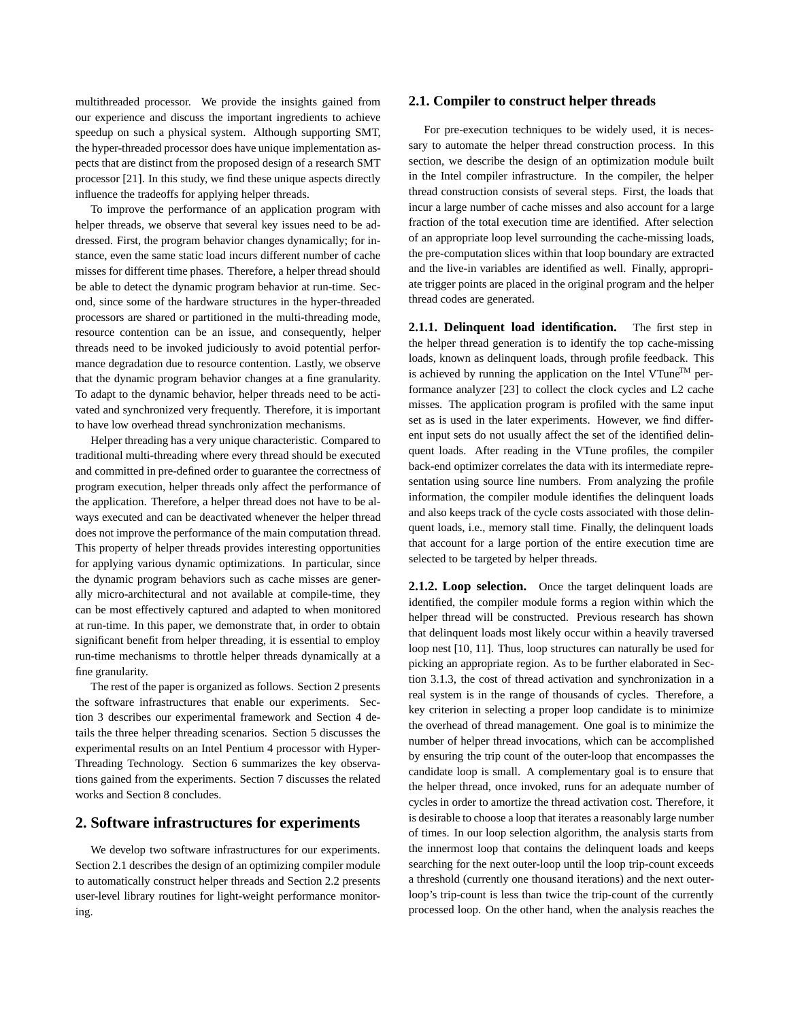multithreaded processor. We provide the insights gained from our experience and discuss the important ingredients to achieve speedup on such a physical system. Although supporting SMT, the hyper-threaded processor does have unique implementation aspects that are distinct from the proposed design of a research SMT processor [21]. In this study, we find these unique aspects directly influence the tradeoffs for applying helper threads.

To improve the performance of an application program with helper threads, we observe that several key issues need to be addressed. First, the program behavior changes dynamically; for instance, even the same static load incurs different number of cache misses for different time phases. Therefore, a helper thread should be able to detect the dynamic program behavior at run-time. Second, since some of the hardware structures in the hyper-threaded processors are shared or partitioned in the multi-threading mode, resource contention can be an issue, and consequently, helper threads need to be invoked judiciously to avoid potential performance degradation due to resource contention. Lastly, we observe that the dynamic program behavior changes at a fine granularity. To adapt to the dynamic behavior, helper threads need to be activated and synchronized very frequently. Therefore, it is important to have low overhead thread synchronization mechanisms.

Helper threading has a very unique characteristic. Compared to traditional multi-threading where every thread should be executed and committed in pre-defined order to guarantee the correctness of program execution, helper threads only affect the performance of the application. Therefore, a helper thread does not have to be always executed and can be deactivated whenever the helper thread does not improve the performance of the main computation thread. This property of helper threads provides interesting opportunities for applying various dynamic optimizations. In particular, since the dynamic program behaviors such as cache misses are generally micro-architectural and not available at compile-time, they can be most effectively captured and adapted to when monitored at run-time. In this paper, we demonstrate that, in order to obtain significant benefit from helper threading, it is essential to employ run-time mechanisms to throttle helper threads dynamically at a fine granularity.

The rest of the paper is organized as follows. Section 2 presents the software infrastructures that enable our experiments. Section 3 describes our experimental framework and Section 4 details the three helper threading scenarios. Section 5 discusses the experimental results on an Intel Pentium 4 processor with Hyper-Threading Technology. Section 6 summarizes the key observations gained from the experiments. Section 7 discusses the related works and Section 8 concludes.

### **2. Software infrastructures for experiments**

We develop two software infrastructures for our experiments. Section 2.1 describes the design of an optimizing compiler module to automatically construct helper threads and Section 2.2 presents user-level library routines for light-weight performance monitoring.

#### **2.1. Compiler to construct helper threads**

For pre-execution techniques to be widely used, it is necessary to automate the helper thread construction process. In this section, we describe the design of an optimization module built in the Intel compiler infrastructure. In the compiler, the helper thread construction consists of several steps. First, the loads that incur a large number of cache misses and also account for a large fraction of the total execution time are identified. After selection of an appropriate loop level surrounding the cache-missing loads, the pre-computation slices within that loop boundary are extracted and the live-in variables are identified as well. Finally, appropriate trigger points are placed in the original program and the helper thread codes are generated.

**2.1.1. Delinquent load identification.** The first step in the helper thread generation is to identify the top cache-missing loads, known as delinquent loads, through profile feedback. This is achieved by running the application on the Intel VTune<sup>TM</sup> performance analyzer [23] to collect the clock cycles and L2 cache misses. The application program is profiled with the same input set as is used in the later experiments. However, we find different input sets do not usually affect the set of the identified delinquent loads. After reading in the VTune profiles, the compiler back-end optimizer correlates the data with its intermediate representation using source line numbers. From analyzing the profile information, the compiler module identifies the delinquent loads and also keeps track of the cycle costs associated with those delinquent loads, i.e., memory stall time. Finally, the delinquent loads that account for a large portion of the entire execution time are selected to be targeted by helper threads.

**2.1.2. Loop selection.** Once the target delinquent loads are identified, the compiler module forms a region within which the helper thread will be constructed. Previous research has shown that delinquent loads most likely occur within a heavily traversed loop nest [10, 11]. Thus, loop structures can naturally be used for picking an appropriate region. As to be further elaborated in Section 3.1.3, the cost of thread activation and synchronization in a real system is in the range of thousands of cycles. Therefore, a key criterion in selecting a proper loop candidate is to minimize the overhead of thread management. One goal is to minimize the number of helper thread invocations, which can be accomplished by ensuring the trip count of the outer-loop that encompasses the candidate loop is small. A complementary goal is to ensure that the helper thread, once invoked, runs for an adequate number of cycles in order to amortize the thread activation cost. Therefore, it is desirable to choose a loop that iterates a reasonably large number of times. In our loop selection algorithm, the analysis starts from the innermost loop that contains the delinquent loads and keeps searching for the next outer-loop until the loop trip-count exceeds a threshold (currently one thousand iterations) and the next outerloop's trip-count is less than twice the trip-count of the currently processed loop. On the other hand, when the analysis reaches the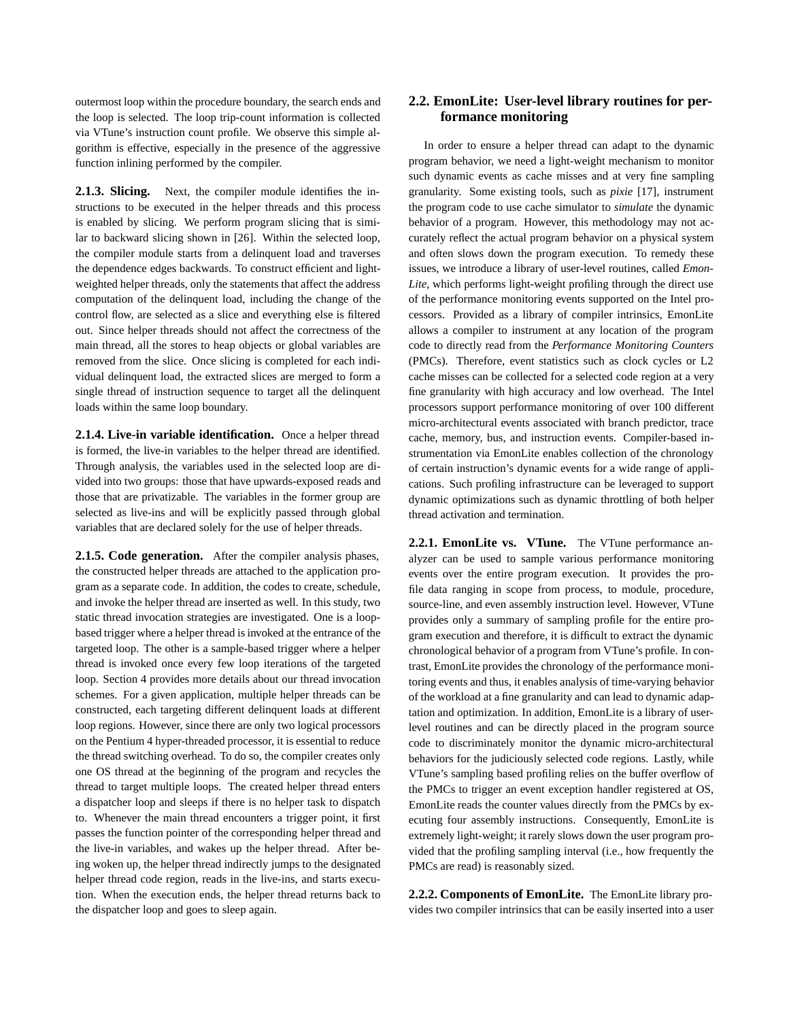outermost loop within the procedure boundary, the search ends and the loop is selected. The loop trip-count information is collected via VTune's instruction count profile. We observe this simple algorithm is effective, especially in the presence of the aggressive function inlining performed by the compiler.

**2.1.3. Slicing.** Next, the compiler module identifies the instructions to be executed in the helper threads and this process is enabled by slicing. We perform program slicing that is similar to backward slicing shown in [26]. Within the selected loop, the compiler module starts from a delinquent load and traverses the dependence edges backwards. To construct efficient and lightweighted helper threads, only the statements that affect the address computation of the delinquent load, including the change of the control flow, are selected as a slice and everything else is filtered out. Since helper threads should not affect the correctness of the main thread, all the stores to heap objects or global variables are removed from the slice. Once slicing is completed for each individual delinquent load, the extracted slices are merged to form a single thread of instruction sequence to target all the delinquent loads within the same loop boundary.

**2.1.4. Live-in variable identification.** Once a helper thread is formed, the live-in variables to the helper thread are identified. Through analysis, the variables used in the selected loop are divided into two groups: those that have upwards-exposed reads and those that are privatizable. The variables in the former group are selected as live-ins and will be explicitly passed through global variables that are declared solely for the use of helper threads.

**2.1.5. Code generation.** After the compiler analysis phases, the constructed helper threads are attached to the application program as a separate code. In addition, the codes to create, schedule, and invoke the helper thread are inserted as well. In this study, two static thread invocation strategies are investigated. One is a loopbased trigger where a helper thread is invoked at the entrance of the targeted loop. The other is a sample-based trigger where a helper thread is invoked once every few loop iterations of the targeted loop. Section 4 provides more details about our thread invocation schemes. For a given application, multiple helper threads can be constructed, each targeting different delinquent loads at different loop regions. However, since there are only two logical processors on the Pentium 4 hyper-threaded processor, it is essential to reduce the thread switching overhead. To do so, the compiler creates only one OS thread at the beginning of the program and recycles the thread to target multiple loops. The created helper thread enters a dispatcher loop and sleeps if there is no helper task to dispatch to. Whenever the main thread encounters a trigger point, it first passes the function pointer of the corresponding helper thread and the live-in variables, and wakes up the helper thread. After being woken up, the helper thread indirectly jumps to the designated helper thread code region, reads in the live-ins, and starts execution. When the execution ends, the helper thread returns back to the dispatcher loop and goes to sleep again.

### **2.2. EmonLite: User-level library routines for performance monitoring**

In order to ensure a helper thread can adapt to the dynamic program behavior, we need a light-weight mechanism to monitor such dynamic events as cache misses and at very fine sampling granularity. Some existing tools, such as *pixie* [17], instrument the program code to use cache simulator to *simulate* the dynamic behavior of a program. However, this methodology may not accurately reflect the actual program behavior on a physical system and often slows down the program execution. To remedy these issues, we introduce a library of user-level routines, called *Emon-Lite*, which performs light-weight profiling through the direct use of the performance monitoring events supported on the Intel processors. Provided as a library of compiler intrinsics, EmonLite allows a compiler to instrument at any location of the program code to directly read from the *Performance Monitoring Counters* (PMCs). Therefore, event statistics such as clock cycles or L2 cache misses can be collected for a selected code region at a very fine granularity with high accuracy and low overhead. The Intel processors support performance monitoring of over 100 different micro-architectural events associated with branch predictor, trace cache, memory, bus, and instruction events. Compiler-based instrumentation via EmonLite enables collection of the chronology of certain instruction's dynamic events for a wide range of applications. Such profiling infrastructure can be leveraged to support dynamic optimizations such as dynamic throttling of both helper thread activation and termination.

**2.2.1. EmonLite vs. VTune.** The VTune performance analyzer can be used to sample various performance monitoring events over the entire program execution. It provides the profile data ranging in scope from process, to module, procedure, source-line, and even assembly instruction level. However, VTune provides only a summary of sampling profile for the entire program execution and therefore, it is difficult to extract the dynamic chronological behavior of a program from VTune's profile. In contrast, EmonLite provides the chronology of the performance monitoring events and thus, it enables analysis of time-varying behavior of the workload at a fine granularity and can lead to dynamic adaptation and optimization. In addition, EmonLite is a library of userlevel routines and can be directly placed in the program source code to discriminately monitor the dynamic micro-architectural behaviors for the judiciously selected code regions. Lastly, while VTune's sampling based profiling relies on the buffer overflow of the PMCs to trigger an event exception handler registered at OS, EmonLite reads the counter values directly from the PMCs by executing four assembly instructions. Consequently, EmonLite is extremely light-weight; it rarely slows down the user program provided that the profiling sampling interval (i.e., how frequently the PMCs are read) is reasonably sized.

**2.2.2. Components of EmonLite.** The EmonLite library provides two compiler intrinsics that can be easily inserted into a user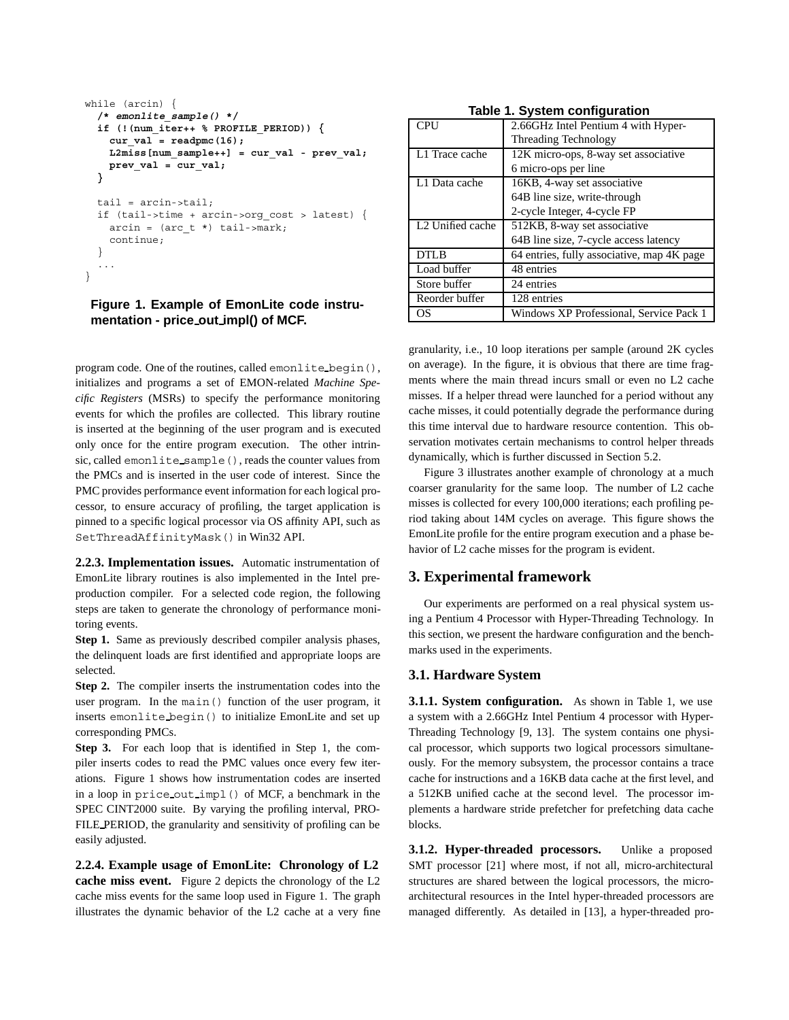```
while (arcin) {
  /* emonlite_sample() */
  if (!(num_iter++ % PROFILE_PERIOD)) {
   cur_val = readpmc(16);
   L2miss[num_sample++] = cur_val - prev_val;
   prev_val = cur_val;
  }
  tail = arcin->tail;
  if (tail->time + arcin->org_cost > latest) {
   arcin = (arc_t * ) tail - smark;continue;
  }
  ...
}
```
# **Figure 1. Example of EmonLite code instrumentation - price out impl() of MCF.**

program code. One of the routines, called emonlite\_begin(), initializes and programs a set of EMON-related *Machine Specific Registers* (MSRs) to specify the performance monitoring events for which the profiles are collected. This library routine is inserted at the beginning of the user program and is executed only once for the entire program execution. The other intrinsic, called emonlite sample(), reads the counter values from the PMCs and is inserted in the user code of interest. Since the PMC provides performance event information for each logical processor, to ensure accuracy of profiling, the target application is pinned to a specific logical processor via OS affinity API, such as SetThreadAffinityMask() in Win32 API.

**2.2.3. Implementation issues.** Automatic instrumentation of EmonLite library routines is also implemented in the Intel preproduction compiler. For a selected code region, the following steps are taken to generate the chronology of performance monitoring events.

**Step 1.** Same as previously described compiler analysis phases, the delinquent loads are first identified and appropriate loops are selected.

**Step 2.** The compiler inserts the instrumentation codes into the user program. In the main() function of the user program, it inserts emonlite begin() to initialize EmonLite and set up corresponding PMCs.

**Step 3.** For each loop that is identified in Step 1, the compiler inserts codes to read the PMC values once every few iterations. Figure 1 shows how instrumentation codes are inserted in a loop in price out impl() of MCF, a benchmark in the SPEC CINT2000 suite. By varying the profiling interval, PRO-FILE PERIOD, the granularity and sensitivity of profiling can be easily adjusted.

**2.2.4. Example usage of EmonLite: Chronology of L2 cache miss event.** Figure 2 depicts the chronology of the L2 cache miss events for the same loop used in Figure 1. The graph illustrates the dynamic behavior of the L2 cache at a very fine

CPU 2.66GHz Intel Pentium 4 with Hyper-Threading Technology L1 Trace cache 12K micro-ops, 8-way set associative 6 micro-ops per line L1 Data cache 16KB, 4-way set associative 64B line size, write-through 2-cycle Integer, 4-cycle FP L2 Unified cache 512KB, 8-way set associative 64B line size, 7-cycle access latency DTLB 64 entries, fully associative, map 4K page Load buffer 48 entries Store buffer 24 entries Reorder buffer 128 entries OS Windows XP Professional, Service Pack 1

**Table 1. System configuration**

granularity, i.e., 10 loop iterations per sample (around 2K cycles on average). In the figure, it is obvious that there are time fragments where the main thread incurs small or even no L2 cache misses. If a helper thread were launched for a period without any cache misses, it could potentially degrade the performance during this time interval due to hardware resource contention. This observation motivates certain mechanisms to control helper threads dynamically, which is further discussed in Section 5.2.

Figure 3 illustrates another example of chronology at a much coarser granularity for the same loop. The number of L2 cache misses is collected for every 100,000 iterations; each profiling period taking about 14M cycles on average. This figure shows the EmonLite profile for the entire program execution and a phase behavior of L2 cache misses for the program is evident.

# **3. Experimental framework**

Our experiments are performed on a real physical system using a Pentium 4 Processor with Hyper-Threading Technology. In this section, we present the hardware configuration and the benchmarks used in the experiments.

#### **3.1. Hardware System**

**3.1.1. System configuration.** As shown in Table 1, we use a system with a 2.66GHz Intel Pentium 4 processor with Hyper-Threading Technology [9, 13]. The system contains one physical processor, which supports two logical processors simultaneously. For the memory subsystem, the processor contains a trace cache for instructions and a 16KB data cache at the first level, and a 512KB unified cache at the second level. The processor implements a hardware stride prefetcher for prefetching data cache blocks.

**3.1.2. Hyper-threaded processors.** Unlike a proposed SMT processor [21] where most, if not all, micro-architectural structures are shared between the logical processors, the microarchitectural resources in the Intel hyper-threaded processors are managed differently. As detailed in [13], a hyper-threaded pro-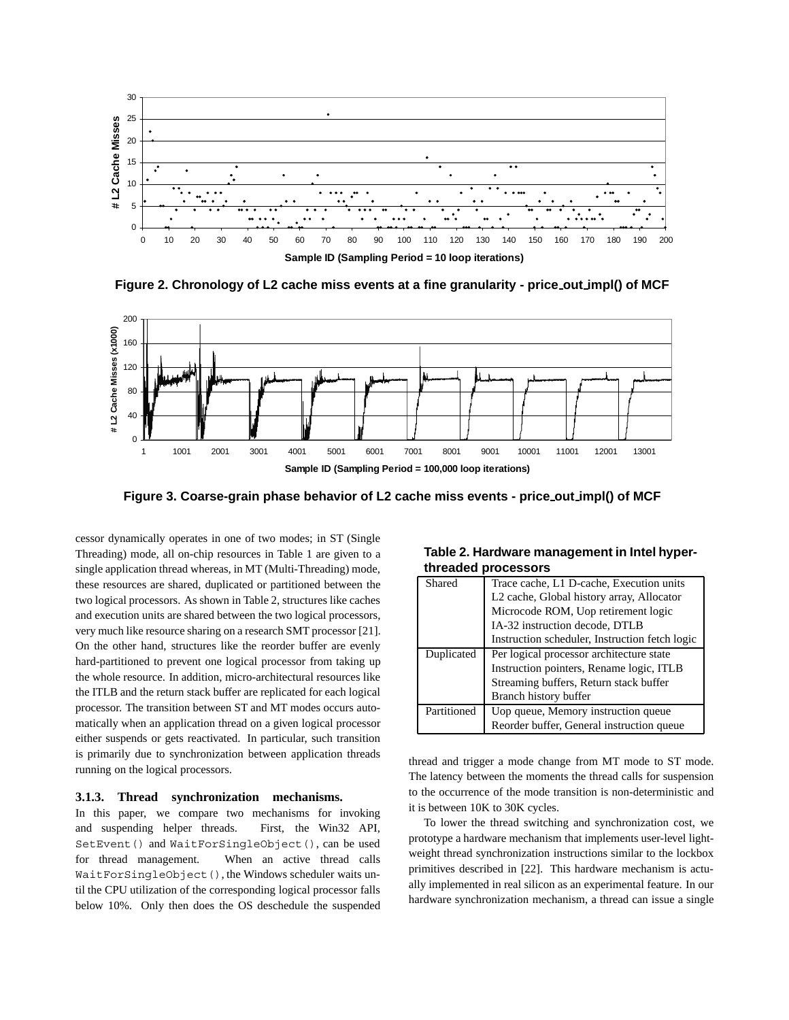

**Figure 2. Chronology of L2 cache miss events at a fine granularity - price out impl() of MCF**



**Figure 3. Coarse-grain phase behavior of L2 cache miss events - price out impl() of MCF**

cessor dynamically operates in one of two modes; in ST (Single Threading) mode, all on-chip resources in Table 1 are given to a single application thread whereas, in MT (Multi-Threading) mode, these resources are shared, duplicated or partitioned between the two logical processors. As shown in Table 2, structures like caches and execution units are shared between the two logical processors, very much like resource sharing on a research SMT processor [21]. On the other hand, structures like the reorder buffer are evenly hard-partitioned to prevent one logical processor from taking up the whole resource. In addition, micro-architectural resources like the ITLB and the return stack buffer are replicated for each logical processor. The transition between ST and MT modes occurs automatically when an application thread on a given logical processor either suspends or gets reactivated. In particular, such transition is primarily due to synchronization between application threads running on the logical processors.

#### **3.1.3. Thread synchronization mechanisms.**

In this paper, we compare two mechanisms for invoking and suspending helper threads. First, the Win32 API, SetEvent() and WaitForSingleObject(), can be used for thread management. When an active thread calls WaitForSingleObject(), the Windows scheduler waits until the CPU utilization of the corresponding logical processor falls below 10%. Only then does the OS deschedule the suspended

| Table 2. Hardware management in Intel hyper- |  |
|----------------------------------------------|--|
| threaded processors                          |  |

| Shared      | Trace cache, L1 D-cache, Execution units              |  |  |
|-------------|-------------------------------------------------------|--|--|
|             | L <sub>2</sub> cache, Global history array, Allocator |  |  |
|             | Microcode ROM, Uop retirement logic                   |  |  |
|             | IA-32 instruction decode, DTLB                        |  |  |
|             | Instruction scheduler, Instruction fetch logic        |  |  |
| Duplicated  | Per logical processor architecture state              |  |  |
|             | Instruction pointers, Rename logic, ITLB              |  |  |
|             | Streaming buffers, Return stack buffer                |  |  |
|             | Branch history buffer                                 |  |  |
| Partitioned | Uop queue, Memory instruction queue                   |  |  |
|             | Reorder buffer, General instruction queue             |  |  |

thread and trigger a mode change from MT mode to ST mode. The latency between the moments the thread calls for suspension to the occurrence of the mode transition is non-deterministic and it is between 10K to 30K cycles.

To lower the thread switching and synchronization cost, we prototype a hardware mechanism that implements user-level lightweight thread synchronization instructions similar to the lockbox primitives described in [22]. This hardware mechanism is actually implemented in real silicon as an experimental feature. In our hardware synchronization mechanism, a thread can issue a single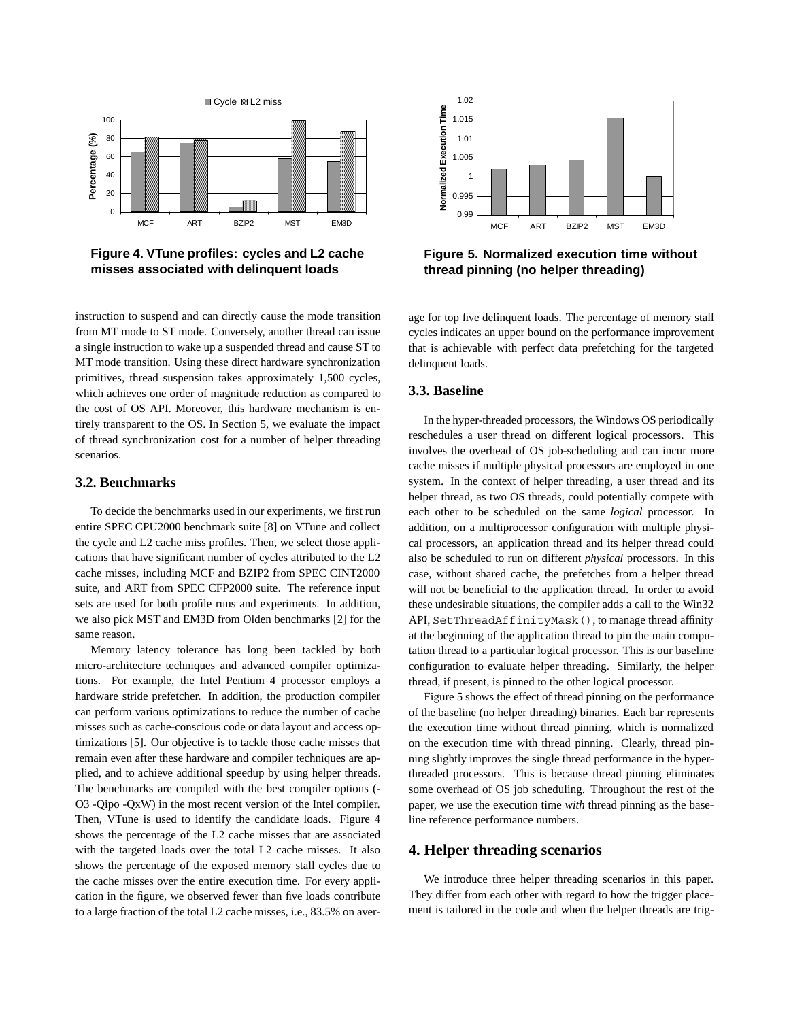

**Figure 4. VTune profiles: cycles and L2 cache misses associated with delinquent loads**

instruction to suspend and can directly cause the mode transition from MT mode to ST mode. Conversely, another thread can issue a single instruction to wake up a suspended thread and cause ST to MT mode transition. Using these direct hardware synchronization primitives, thread suspension takes approximately 1,500 cycles, which achieves one order of magnitude reduction as compared to the cost of OS API. Moreover, this hardware mechanism is entirely transparent to the OS. In Section 5, we evaluate the impact of thread synchronization cost for a number of helper threading scenarios.

### **3.2. Benchmarks**

To decide the benchmarks used in our experiments, we first run entire SPEC CPU2000 benchmark suite [8] on VTune and collect the cycle and L2 cache miss profiles. Then, we select those applications that have significant number of cycles attributed to the L2 cache misses, including MCF and BZIP2 from SPEC CINT2000 suite, and ART from SPEC CFP2000 suite. The reference input sets are used for both profile runs and experiments. In addition, we also pick MST and EM3D from Olden benchmarks [2] for the same reason.

Memory latency tolerance has long been tackled by both micro-architecture techniques and advanced compiler optimizations. For example, the Intel Pentium 4 processor employs a hardware stride prefetcher. In addition, the production compiler can perform various optimizations to reduce the number of cache misses such as cache-conscious code or data layout and access optimizations [5]. Our objective is to tackle those cache misses that remain even after these hardware and compiler techniques are applied, and to achieve additional speedup by using helper threads. The benchmarks are compiled with the best compiler options (- O3 -Qipo -QxW) in the most recent version of the Intel compiler. Then, VTune is used to identify the candidate loads. Figure 4 shows the percentage of the L2 cache misses that are associated with the targeted loads over the total L2 cache misses. It also shows the percentage of the exposed memory stall cycles due to the cache misses over the entire execution time. For every application in the figure, we observed fewer than five loads contribute to a large fraction of the total L2 cache misses, i.e., 83.5% on aver-



**Figure 5. Normalized execution time without thread pinning (no helper threading)**

age for top five delinquent loads. The percentage of memory stall cycles indicates an upper bound on the performance improvement that is achievable with perfect data prefetching for the targeted delinquent loads.

### **3.3. Baseline**

In the hyper-threaded processors, the Windows OS periodically reschedules a user thread on different logical processors. This involves the overhead of OS job-scheduling and can incur more cache misses if multiple physical processors are employed in one system. In the context of helper threading, a user thread and its helper thread, as two OS threads, could potentially compete with each other to be scheduled on the same *logical* processor. In addition, on a multiprocessor configuration with multiple physical processors, an application thread and its helper thread could also be scheduled to run on different *physical* processors. In this case, without shared cache, the prefetches from a helper thread will not be beneficial to the application thread. In order to avoid these undesirable situations, the compiler adds a call to the Win32 API, SetThreadAffinityMask(), to manage thread affinity at the beginning of the application thread to pin the main computation thread to a particular logical processor. This is our baseline configuration to evaluate helper threading. Similarly, the helper thread, if present, is pinned to the other logical processor.

Figure 5 shows the effect of thread pinning on the performance of the baseline (no helper threading) binaries. Each bar represents the execution time without thread pinning, which is normalized on the execution time with thread pinning. Clearly, thread pinning slightly improves the single thread performance in the hyperthreaded processors. This is because thread pinning eliminates some overhead of OS job scheduling. Throughout the rest of the paper, we use the execution time *with* thread pinning as the baseline reference performance numbers.

# **4. Helper threading scenarios**

We introduce three helper threading scenarios in this paper. They differ from each other with regard to how the trigger placement is tailored in the code and when the helper threads are trig-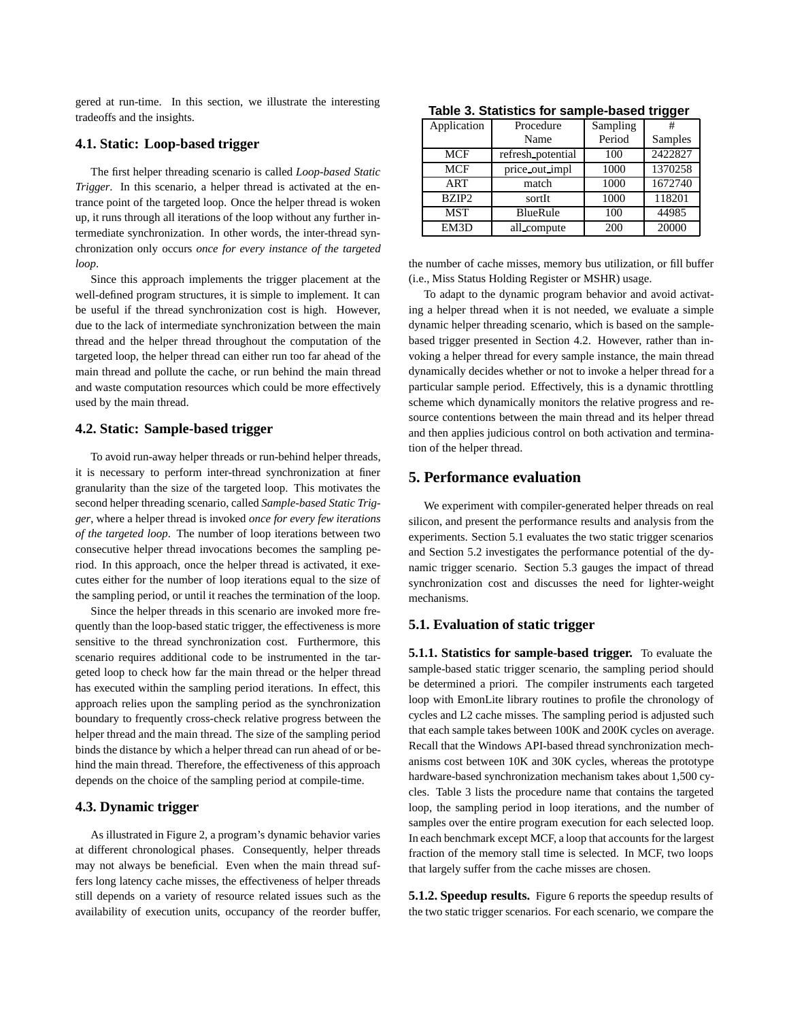gered at run-time. In this section, we illustrate the interesting tradeoffs and the insights.

# **4.1. Static: Loop-based trigger**

The first helper threading scenario is called *Loop-based Static Trigger*. In this scenario, a helper thread is activated at the entrance point of the targeted loop. Once the helper thread is woken up, it runs through all iterations of the loop without any further intermediate synchronization. In other words, the inter-thread synchronization only occurs *once for every instance of the targeted loop*.

Since this approach implements the trigger placement at the well-defined program structures, it is simple to implement. It can be useful if the thread synchronization cost is high. However, due to the lack of intermediate synchronization between the main thread and the helper thread throughout the computation of the targeted loop, the helper thread can either run too far ahead of the main thread and pollute the cache, or run behind the main thread and waste computation resources which could be more effectively used by the main thread.

#### **4.2. Static: Sample-based trigger**

To avoid run-away helper threads or run-behind helper threads, it is necessary to perform inter-thread synchronization at finer granularity than the size of the targeted loop. This motivates the second helper threading scenario, called *Sample-based Static Trigger*, where a helper thread is invoked *once for every few iterations of the targeted loop*. The number of loop iterations between two consecutive helper thread invocations becomes the sampling period. In this approach, once the helper thread is activated, it executes either for the number of loop iterations equal to the size of the sampling period, or until it reaches the termination of the loop.

Since the helper threads in this scenario are invoked more frequently than the loop-based static trigger, the effectiveness is more sensitive to the thread synchronization cost. Furthermore, this scenario requires additional code to be instrumented in the targeted loop to check how far the main thread or the helper thread has executed within the sampling period iterations. In effect, this approach relies upon the sampling period as the synchronization boundary to frequently cross-check relative progress between the helper thread and the main thread. The size of the sampling period binds the distance by which a helper thread can run ahead of or behind the main thread. Therefore, the effectiveness of this approach depends on the choice of the sampling period at compile-time.

# **4.3. Dynamic trigger**

As illustrated in Figure 2, a program's dynamic behavior varies at different chronological phases. Consequently, helper threads may not always be beneficial. Even when the main thread suffers long latency cache misses, the effectiveness of helper threads still depends on a variety of resource related issues such as the availability of execution units, occupancy of the reorder buffer,

| Application       | Procedure         | Sampling | #       |
|-------------------|-------------------|----------|---------|
|                   | Name              | Period   | Samples |
| <b>MCF</b>        | refresh potential | 100      | 2422827 |
| <b>MCF</b>        | price_out_impl    | 1000     | 1370258 |
| ART               | match             | 1000     | 1672740 |
| BZIP <sub>2</sub> | sortIt            | 1000     | 118201  |
| <b>MST</b>        | BlueRule          | 100      | 44985   |
| EM3D              | all compute       | 200      | 20000   |

**Table 3. Statistics for sample-based trigger**

the number of cache misses, memory bus utilization, or fill buffer (i.e., Miss Status Holding Register or MSHR) usage.

To adapt to the dynamic program behavior and avoid activating a helper thread when it is not needed, we evaluate a simple dynamic helper threading scenario, which is based on the samplebased trigger presented in Section 4.2. However, rather than invoking a helper thread for every sample instance, the main thread dynamically decides whether or not to invoke a helper thread for a particular sample period. Effectively, this is a dynamic throttling scheme which dynamically monitors the relative progress and resource contentions between the main thread and its helper thread and then applies judicious control on both activation and termination of the helper thread.

### **5. Performance evaluation**

We experiment with compiler-generated helper threads on real silicon, and present the performance results and analysis from the experiments. Section 5.1 evaluates the two static trigger scenarios and Section 5.2 investigates the performance potential of the dynamic trigger scenario. Section 5.3 gauges the impact of thread synchronization cost and discusses the need for lighter-weight mechanisms.

#### **5.1. Evaluation of static trigger**

**5.1.1. Statistics for sample-based trigger.** To evaluate the sample-based static trigger scenario, the sampling period should be determined a priori. The compiler instruments each targeted loop with EmonLite library routines to profile the chronology of cycles and L2 cache misses. The sampling period is adjusted such that each sample takes between 100K and 200K cycles on average. Recall that the Windows API-based thread synchronization mechanisms cost between 10K and 30K cycles, whereas the prototype hardware-based synchronization mechanism takes about 1,500 cycles. Table 3 lists the procedure name that contains the targeted loop, the sampling period in loop iterations, and the number of samples over the entire program execution for each selected loop. In each benchmark except MCF, a loop that accounts for the largest fraction of the memory stall time is selected. In MCF, two loops that largely suffer from the cache misses are chosen.

**5.1.2. Speedup results.** Figure 6 reports the speedup results of the two static trigger scenarios. For each scenario, we compare the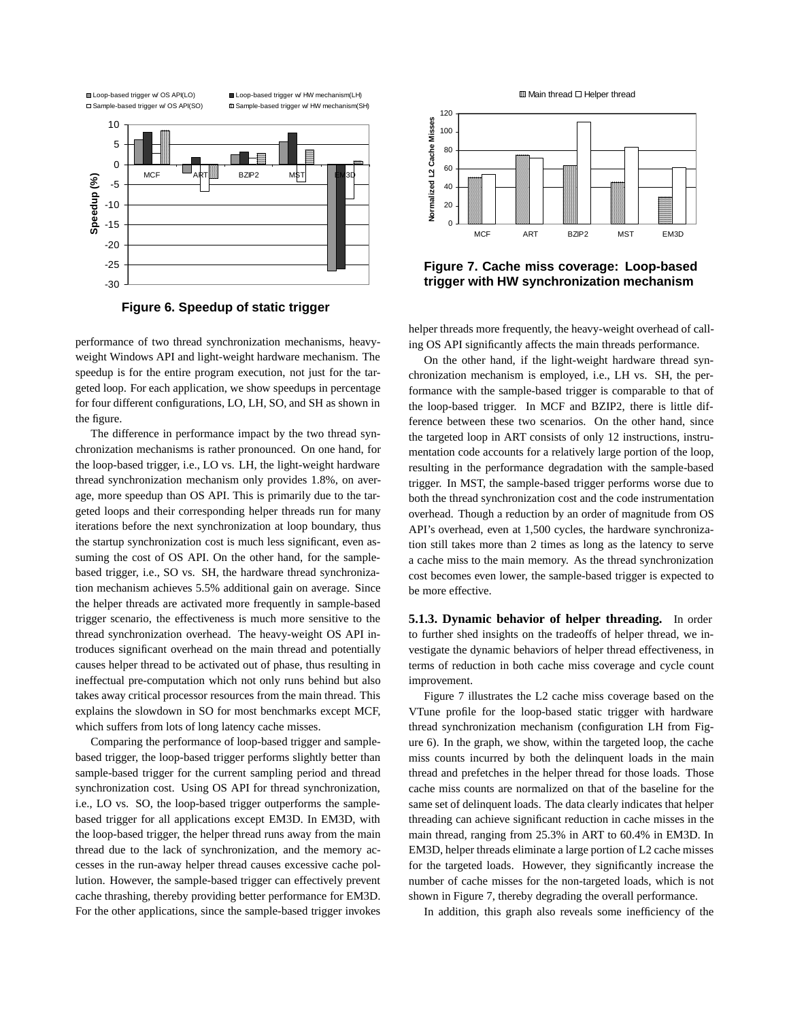

Loop-based trigger w/ OS API(LO)  $\qquad \qquad \blacksquare$  Loop-based trigger w/ HW mechanism(LH)



performance of two thread synchronization mechanisms, heavyweight Windows API and light-weight hardware mechanism. The speedup is for the entire program execution, not just for the targeted loop. For each application, we show speedups in percentage for four different configurations, LO, LH, SO, and SH as shown in the figure.

The difference in performance impact by the two thread synchronization mechanisms is rather pronounced. On one hand, for the loop-based trigger, i.e., LO vs. LH, the light-weight hardware thread synchronization mechanism only provides 1.8%, on average, more speedup than OS API. This is primarily due to the targeted loops and their corresponding helper threads run for many iterations before the next synchronization at loop boundary, thus the startup synchronization cost is much less significant, even assuming the cost of OS API. On the other hand, for the samplebased trigger, i.e., SO vs. SH, the hardware thread synchronization mechanism achieves 5.5% additional gain on average. Since the helper threads are activated more frequently in sample-based trigger scenario, the effectiveness is much more sensitive to the thread synchronization overhead. The heavy-weight OS API introduces significant overhead on the main thread and potentially causes helper thread to be activated out of phase, thus resulting in ineffectual pre-computation which not only runs behind but also takes away critical processor resources from the main thread. This explains the slowdown in SO for most benchmarks except MCF, which suffers from lots of long latency cache misses.

Comparing the performance of loop-based trigger and samplebased trigger, the loop-based trigger performs slightly better than sample-based trigger for the current sampling period and thread synchronization cost. Using OS API for thread synchronization, i.e., LO vs. SO, the loop-based trigger outperforms the samplebased trigger for all applications except EM3D. In EM3D, with the loop-based trigger, the helper thread runs away from the main thread due to the lack of synchronization, and the memory accesses in the run-away helper thread causes excessive cache pollution. However, the sample-based trigger can effectively prevent cache thrashing, thereby providing better performance for EM3D. For the other applications, since the sample-based trigger invokes

 $\Box$  Main thread  $\Box$  Helper thread



**Figure 7. Cache miss coverage: Loop-based trigger with HW synchronization mechanism**

helper threads more frequently, the heavy-weight overhead of calling OS API significantly affects the main threads performance.

On the other hand, if the light-weight hardware thread synchronization mechanism is employed, i.e., LH vs. SH, the performance with the sample-based trigger is comparable to that of the loop-based trigger. In MCF and BZIP2, there is little difference between these two scenarios. On the other hand, since the targeted loop in ART consists of only 12 instructions, instrumentation code accounts for a relatively large portion of the loop, resulting in the performance degradation with the sample-based trigger. In MST, the sample-based trigger performs worse due to both the thread synchronization cost and the code instrumentation overhead. Though a reduction by an order of magnitude from OS API's overhead, even at 1,500 cycles, the hardware synchronization still takes more than 2 times as long as the latency to serve a cache miss to the main memory. As the thread synchronization cost becomes even lower, the sample-based trigger is expected to be more effective.

**5.1.3. Dynamic behavior of helper threading.** In order to further shed insights on the tradeoffs of helper thread, we investigate the dynamic behaviors of helper thread effectiveness, in terms of reduction in both cache miss coverage and cycle count improvement.

Figure 7 illustrates the L2 cache miss coverage based on the VTune profile for the loop-based static trigger with hardware thread synchronization mechanism (configuration LH from Figure 6). In the graph, we show, within the targeted loop, the cache miss counts incurred by both the delinquent loads in the main thread and prefetches in the helper thread for those loads. Those cache miss counts are normalized on that of the baseline for the same set of delinquent loads. The data clearly indicates that helper threading can achieve significant reduction in cache misses in the main thread, ranging from 25.3% in ART to 60.4% in EM3D. In EM3D, helper threads eliminate a large portion of L2 cache misses for the targeted loads. However, they significantly increase the number of cache misses for the non-targeted loads, which is not shown in Figure 7, thereby degrading the overall performance.

In addition, this graph also reveals some inefficiency of the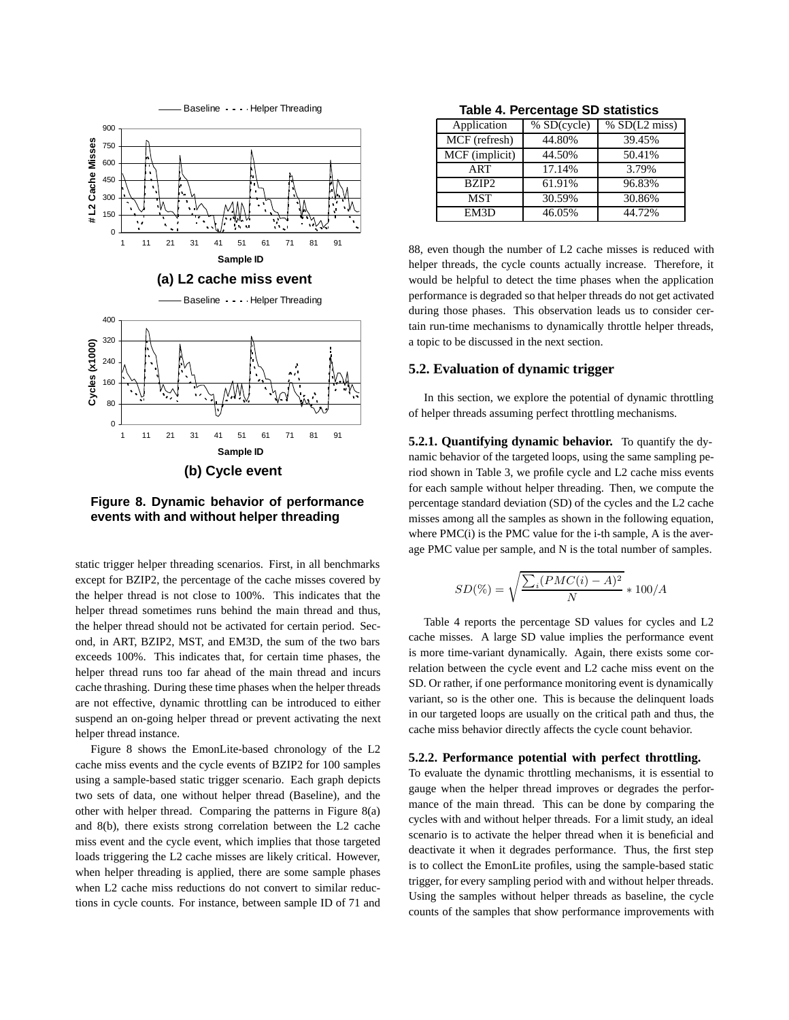

**Figure 8. Dynamic behavior of performance events with and without helper threading**

static trigger helper threading scenarios. First, in all benchmarks except for BZIP2, the percentage of the cache misses covered by the helper thread is not close to 100%. This indicates that the helper thread sometimes runs behind the main thread and thus, the helper thread should not be activated for certain period. Second, in ART, BZIP2, MST, and EM3D, the sum of the two bars exceeds 100%. This indicates that, for certain time phases, the helper thread runs too far ahead of the main thread and incurs cache thrashing. During these time phases when the helper threads are not effective, dynamic throttling can be introduced to either suspend an on-going helper thread or prevent activating the next helper thread instance.

Figure 8 shows the EmonLite-based chronology of the L2 cache miss events and the cycle events of BZIP2 for 100 samples using a sample-based static trigger scenario. Each graph depicts two sets of data, one without helper thread (Baseline), and the other with helper thread. Comparing the patterns in Figure 8(a) and 8(b), there exists strong correlation between the L2 cache miss event and the cycle event, which implies that those targeted loads triggering the L2 cache misses are likely critical. However, when helper threading is applied, there are some sample phases when L2 cache miss reductions do not convert to similar reductions in cycle counts. For instance, between sample ID of 71 and

**Table 4. Percentage SD statistics**

| Application                        | % SD(cycle) | % SD(L2 miss) |  |  |
|------------------------------------|-------------|---------------|--|--|
| MCF (refresh)                      | 44.80%      | 39.45%        |  |  |
| $\overline{\text{MCF}}$ (implicit) | 44.50%      | 50.41%        |  |  |
| ART                                | 17.14%      | 3.79%         |  |  |
| BZIP <sub>2</sub>                  | 61.91%      | 96.83%        |  |  |
| <b>MST</b>                         | 30.59%      | 30.86%        |  |  |
| EM3D                               | 46.05%      | 44.72%        |  |  |

88, even though the number of L2 cache misses is reduced with helper threads, the cycle counts actually increase. Therefore, it would be helpful to detect the time phases when the application performance is degraded so that helper threads do not get activated during those phases. This observation leads us to consider certain run-time mechanisms to dynamically throttle helper threads, a topic to be discussed in the next section.

#### **5.2. Evaluation of dynamic trigger**

In this section, we explore the potential of dynamic throttling of helper threads assuming perfect throttling mechanisms.

**5.2.1. Quantifying dynamic behavior.** To quantify the dynamic behavior of the targeted loops, using the same sampling period shown in Table 3, we profile cycle and L2 cache miss events for each sample without helper threading. Then, we compute the percentage standard deviation (SD) of the cycles and the L2 cache misses among all the samples as shown in the following equation, where  $PMC(i)$  is the PMC value for the i-th sample, A is the average PMC value per sample, and N is the total number of samples.

$$
SD(\%) = \sqrt{\frac{\sum_{i}(PMC(i) - A)^2}{N}} * 100/A
$$

Table 4 reports the percentage SD values for cycles and L2 cache misses. A large SD value implies the performance event is more time-variant dynamically. Again, there exists some correlation between the cycle event and L2 cache miss event on the SD. Or rather, if one performance monitoring event is dynamically variant, so is the other one. This is because the delinquent loads in our targeted loops are usually on the critical path and thus, the cache miss behavior directly affects the cycle count behavior.

#### **5.2.2. Performance potential with perfect throttling.**

To evaluate the dynamic throttling mechanisms, it is essential to gauge when the helper thread improves or degrades the performance of the main thread. This can be done by comparing the cycles with and without helper threads. For a limit study, an ideal scenario is to activate the helper thread when it is beneficial and deactivate it when it degrades performance. Thus, the first step is to collect the EmonLite profiles, using the sample-based static trigger, for every sampling period with and without helper threads. Using the samples without helper threads as baseline, the cycle counts of the samples that show performance improvements with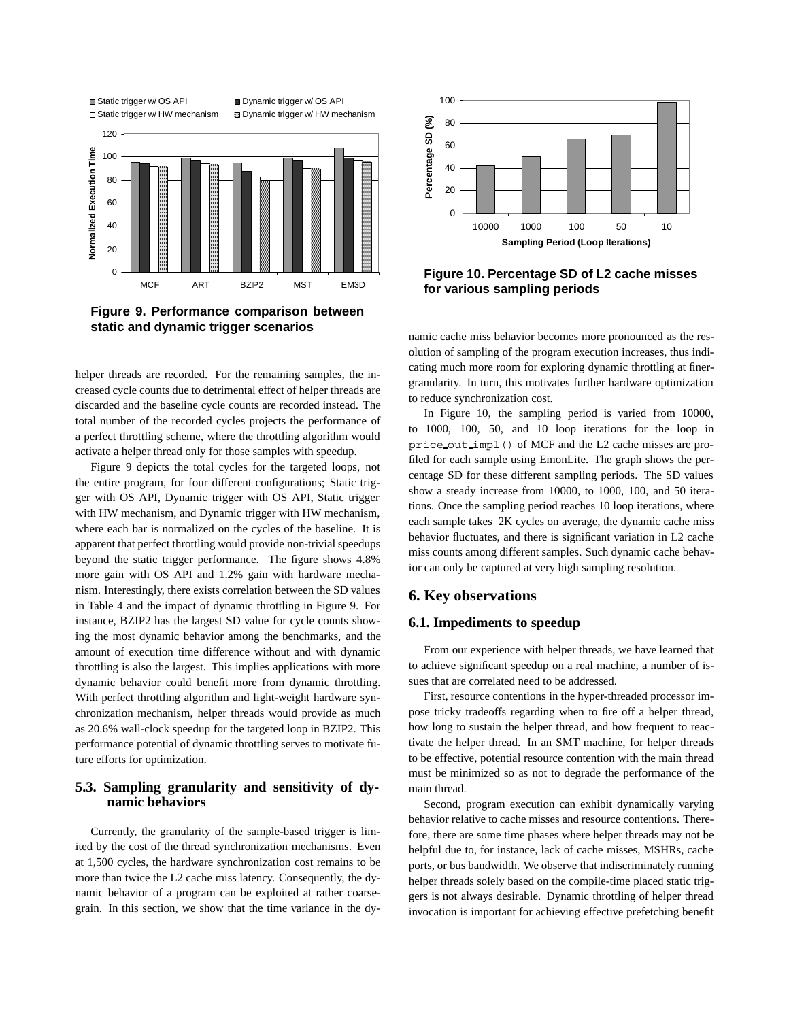

**Figure 9. Performance comparison between static and dynamic trigger scenarios**

helper threads are recorded. For the remaining samples, the increased cycle counts due to detrimental effect of helper threads are discarded and the baseline cycle counts are recorded instead. The total number of the recorded cycles projects the performance of a perfect throttling scheme, where the throttling algorithm would activate a helper thread only for those samples with speedup.

Figure 9 depicts the total cycles for the targeted loops, not the entire program, for four different configurations; Static trigger with OS API, Dynamic trigger with OS API, Static trigger with HW mechanism, and Dynamic trigger with HW mechanism, where each bar is normalized on the cycles of the baseline. It is apparent that perfect throttling would provide non-trivial speedups beyond the static trigger performance. The figure shows 4.8% more gain with OS API and 1.2% gain with hardware mechanism. Interestingly, there exists correlation between the SD values in Table 4 and the impact of dynamic throttling in Figure 9. For instance, BZIP2 has the largest SD value for cycle counts showing the most dynamic behavior among the benchmarks, and the amount of execution time difference without and with dynamic throttling is also the largest. This implies applications with more dynamic behavior could benefit more from dynamic throttling. With perfect throttling algorithm and light-weight hardware synchronization mechanism, helper threads would provide as much as 20.6% wall-clock speedup for the targeted loop in BZIP2. This performance potential of dynamic throttling serves to motivate future efforts for optimization.

#### **5.3. Sampling granularity and sensitivity of dynamic behaviors**

Currently, the granularity of the sample-based trigger is limited by the cost of the thread synchronization mechanisms. Even at 1,500 cycles, the hardware synchronization cost remains to be more than twice the L2 cache miss latency. Consequently, the dynamic behavior of a program can be exploited at rather coarsegrain. In this section, we show that the time variance in the dy-



**Figure 10. Percentage SD of L2 cache misses for various sampling periods**

namic cache miss behavior becomes more pronounced as the resolution of sampling of the program execution increases, thus indicating much more room for exploring dynamic throttling at finergranularity. In turn, this motivates further hardware optimization to reduce synchronization cost.

In Figure 10, the sampling period is varied from 10000, to 1000, 100, 50, and 10 loop iterations for the loop in price out impl() of MCF and the L2 cache misses are profiled for each sample using EmonLite. The graph shows the percentage SD for these different sampling periods. The SD values show a steady increase from 10000, to 1000, 100, and 50 iterations. Once the sampling period reaches 10 loop iterations, where each sample takes 2K cycles on average, the dynamic cache miss behavior fluctuates, and there is significant variation in L2 cache miss counts among different samples. Such dynamic cache behavior can only be captured at very high sampling resolution.

### **6. Key observations**

### **6.1. Impediments to speedup**

From our experience with helper threads, we have learned that to achieve significant speedup on a real machine, a number of issues that are correlated need to be addressed.

First, resource contentions in the hyper-threaded processor impose tricky tradeoffs regarding when to fire off a helper thread, how long to sustain the helper thread, and how frequent to reactivate the helper thread. In an SMT machine, for helper threads to be effective, potential resource contention with the main thread must be minimized so as not to degrade the performance of the main thread.

Second, program execution can exhibit dynamically varying behavior relative to cache misses and resource contentions. Therefore, there are some time phases where helper threads may not be helpful due to, for instance, lack of cache misses, MSHRs, cache ports, or bus bandwidth. We observe that indiscriminately running helper threads solely based on the compile-time placed static triggers is not always desirable. Dynamic throttling of helper thread invocation is important for achieving effective prefetching benefit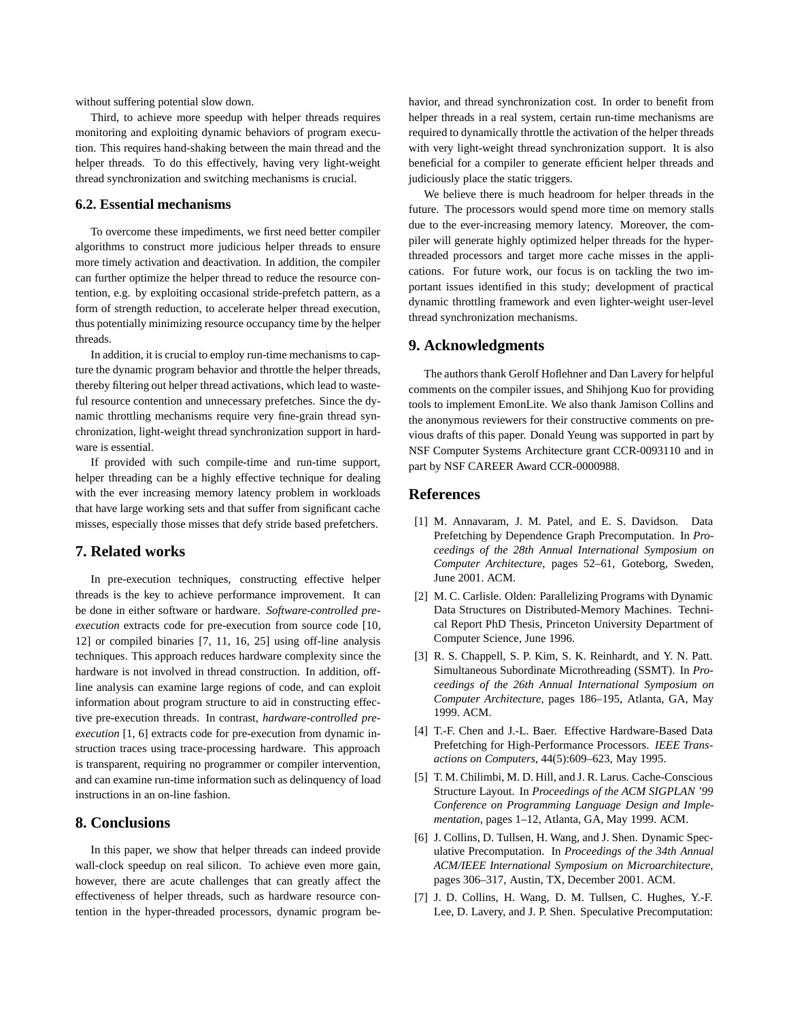without suffering potential slow down.

Third, to achieve more speedup with helper threads requires monitoring and exploiting dynamic behaviors of program execution. This requires hand-shaking between the main thread and the helper threads. To do this effectively, having very light-weight thread synchronization and switching mechanisms is crucial.

### **6.2. Essential mechanisms**

To overcome these impediments, we first need better compiler algorithms to construct more judicious helper threads to ensure more timely activation and deactivation. In addition, the compiler can further optimize the helper thread to reduce the resource contention, e.g. by exploiting occasional stride-prefetch pattern, as a form of strength reduction, to accelerate helper thread execution, thus potentially minimizing resource occupancy time by the helper threads.

In addition, it is crucial to employ run-time mechanisms to capture the dynamic program behavior and throttle the helper threads, thereby filtering out helper thread activations, which lead to wasteful resource contention and unnecessary prefetches. Since the dynamic throttling mechanisms require very fine-grain thread synchronization, light-weight thread synchronization support in hardware is essential.

If provided with such compile-time and run-time support, helper threading can be a highly effective technique for dealing with the ever increasing memory latency problem in workloads that have large working sets and that suffer from significant cache misses, especially those misses that defy stride based prefetchers.

# **7. Related works**

In pre-execution techniques, constructing effective helper threads is the key to achieve performance improvement. It can be done in either software or hardware. *Software-controlled preexecution* extracts code for pre-execution from source code [10, 12] or compiled binaries [7, 11, 16, 25] using off-line analysis techniques. This approach reduces hardware complexity since the hardware is not involved in thread construction. In addition, offline analysis can examine large regions of code, and can exploit information about program structure to aid in constructing effective pre-execution threads. In contrast, *hardware-controlled preexecution* [1, 6] extracts code for pre-execution from dynamic instruction traces using trace-processing hardware. This approach is transparent, requiring no programmer or compiler intervention, and can examine run-time information such as delinquency of load instructions in an on-line fashion.

# **8. Conclusions**

In this paper, we show that helper threads can indeed provide wall-clock speedup on real silicon. To achieve even more gain, however, there are acute challenges that can greatly affect the effectiveness of helper threads, such as hardware resource contention in the hyper-threaded processors, dynamic program be-

havior, and thread synchronization cost. In order to benefit from helper threads in a real system, certain run-time mechanisms are required to dynamically throttle the activation of the helper threads with very light-weight thread synchronization support. It is also beneficial for a compiler to generate efficient helper threads and judiciously place the static triggers.

We believe there is much headroom for helper threads in the future. The processors would spend more time on memory stalls due to the ever-increasing memory latency. Moreover, the compiler will generate highly optimized helper threads for the hyperthreaded processors and target more cache misses in the applications. For future work, our focus is on tackling the two important issues identified in this study; development of practical dynamic throttling framework and even lighter-weight user-level thread synchronization mechanisms.

## **9. Acknowledgments**

The authors thank Gerolf Hoflehner and Dan Lavery for helpful comments on the compiler issues, and Shihjong Kuo for providing tools to implement EmonLite. We also thank Jamison Collins and the anonymous reviewers for their constructive comments on previous drafts of this paper. Donald Yeung was supported in part by NSF Computer Systems Architecture grant CCR-0093110 and in part by NSF CAREER Award CCR-0000988.

### **References**

- [1] M. Annavaram, J. M. Patel, and E. S. Davidson. Data Prefetching by Dependence Graph Precomputation. In *Proceedings of the 28th Annual International Symposium on Computer Architecture*, pages 52–61, Goteborg, Sweden, June 2001. ACM.
- [2] M. C. Carlisle. Olden: Parallelizing Programs with Dynamic Data Structures on Distributed-Memory Machines. Technical Report PhD Thesis, Princeton University Department of Computer Science, June 1996.
- [3] R. S. Chappell, S. P. Kim, S. K. Reinhardt, and Y. N. Patt. Simultaneous Subordinate Microthreading (SSMT). In *Proceedings of the 26th Annual International Symposium on Computer Architecture*, pages 186–195, Atlanta, GA, May 1999. ACM.
- [4] T.-F. Chen and J.-L. Baer. Effective Hardware-Based Data Prefetching for High-Performance Processors. *IEEE Transactions on Computers*, 44(5):609–623, May 1995.
- [5] T. M. Chilimbi, M. D. Hill, and J. R. Larus. Cache-Conscious Structure Layout. In *Proceedings of the ACM SIGPLAN '99 Conference on Programming Language Design and Implementation*, pages 1–12, Atlanta, GA, May 1999. ACM.
- [6] J. Collins, D. Tullsen, H. Wang, and J. Shen. Dynamic Speculative Precomputation. In *Proceedings of the 34th Annual ACM/IEEE International Symposium on Microarchitecture*, pages 306–317, Austin, TX, December 2001. ACM.
- [7] J. D. Collins, H. Wang, D. M. Tullsen, C. Hughes, Y.-F. Lee, D. Lavery, and J. P. Shen. Speculative Precomputation: